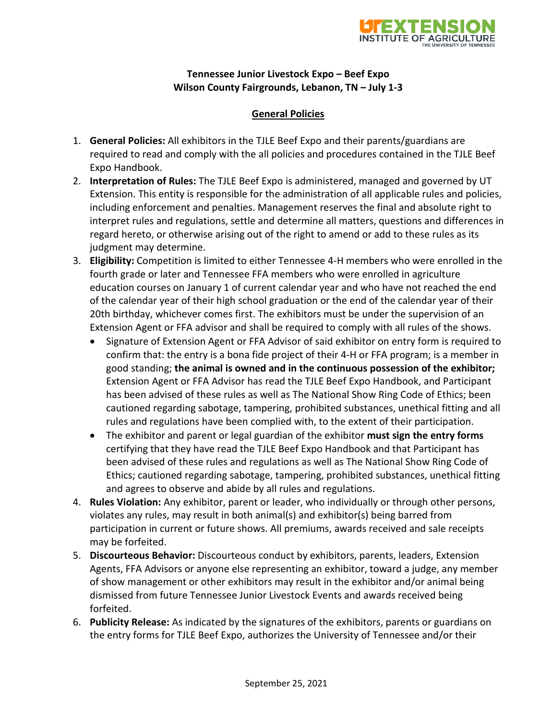

# **Tennessee Junior Livestock Expo – Beef Expo Wilson County Fairgrounds, Lebanon, TN – July 1-3**

#### **General Policies**

- 1. **General Policies:** All exhibitors in the TJLE Beef Expo and their parents/guardians are required to read and comply with the all policies and procedures contained in the TJLE Beef Expo Handbook.
- 2. **Interpretation of Rules:** The TJLE Beef Expo is administered, managed and governed by UT Extension. This entity is responsible for the administration of all applicable rules and policies, including enforcement and penalties. Management reserves the final and absolute right to interpret rules and regulations, settle and determine all matters, questions and differences in regard hereto, or otherwise arising out of the right to amend or add to these rules as its judgment may determine.
- 3. **Eligibility:** Competition is limited to either Tennessee 4-H members who were enrolled in the fourth grade or later and Tennessee FFA members who were enrolled in agriculture education courses on January 1 of current calendar year and who have not reached the end of the calendar year of their high school graduation or the end of the calendar year of their 20th birthday, whichever comes first. The exhibitors must be under the supervision of an Extension Agent or FFA advisor and shall be required to comply with all rules of the shows.
	- Signature of Extension Agent or FFA Advisor of said exhibitor on entry form is required to confirm that: the entry is a bona fide project of their 4-H or FFA program; is a member in good standing; **the animal is owned and in the continuous possession of the exhibitor;** Extension Agent or FFA Advisor has read the TJLE Beef Expo Handbook, and Participant has been advised of these rules as well as The National Show Ring Code of Ethics; been cautioned regarding sabotage, tampering, prohibited substances, unethical fitting and all rules and regulations have been complied with, to the extent of their participation.
	- The exhibitor and parent or legal guardian of the exhibitor **must sign the entry forms**  certifying that they have read the TJLE Beef Expo Handbook and that Participant has been advised of these rules and regulations as well as The National Show Ring Code of Ethics; cautioned regarding sabotage, tampering, prohibited substances, unethical fitting and agrees to observe and abide by all rules and regulations.
- 4. **Rules Violation:** Any exhibitor, parent or leader, who individually or through other persons, violates any rules, may result in both animal(s) and exhibitor(s) being barred from participation in current or future shows. All premiums, awards received and sale receipts may be forfeited.
- 5. **Discourteous Behavior:** Discourteous conduct by exhibitors, parents, leaders, Extension Agents, FFA Advisors or anyone else representing an exhibitor, toward a judge, any member of show management or other exhibitors may result in the exhibitor and/or animal being dismissed from future Tennessee Junior Livestock Events and awards received being forfeited.
- 6. **Publicity Release:** As indicated by the signatures of the exhibitors, parents or guardians on the entry forms for TJLE Beef Expo, authorizes the University of Tennessee and/or their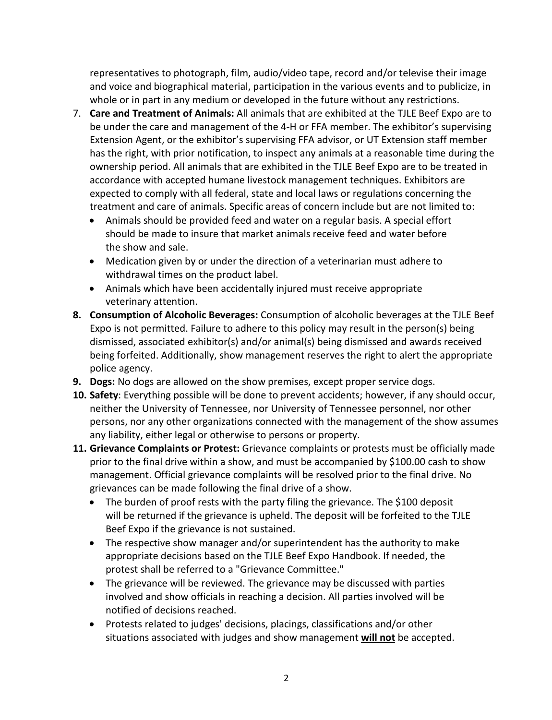representatives to photograph, film, audio/video tape, record and/or televise their image and voice and biographical material, participation in the various events and to publicize, in whole or in part in any medium or developed in the future without any restrictions.

- 7. **Care and Treatment of Animals:** All animals that are exhibited at the TJLE Beef Expo are to be under the care and management of the 4-H or FFA member. The exhibitor's supervising Extension Agent, or the exhibitor's supervising FFA advisor, or UT Extension staff member has the right, with prior notification, to inspect any animals at a reasonable time during the ownership period. All animals that are exhibited in the TJLE Beef Expo are to be treated in accordance with accepted humane livestock management techniques. Exhibitors are expected to comply with all federal, state and local laws or regulations concerning the treatment and care of animals. Specific areas of concern include but are not limited to:
	- Animals should be provided feed and water on a regular basis. A special effort should be made to insure that market animals receive feed and water before the show and sale.
	- Medication given by or under the direction of a veterinarian must adhere to withdrawal times on the product label.
	- Animals which have been accidentally injured must receive appropriate veterinary attention.
- **8. Consumption of Alcoholic Beverages:** Consumption of alcoholic beverages at the TJLE Beef Expo is not permitted. Failure to adhere to this policy may result in the person(s) being dismissed, associated exhibitor(s) and/or animal(s) being dismissed and awards received being forfeited. Additionally, show management reserves the right to alert the appropriate police agency.
- **9. Dogs:** No dogs are allowed on the show premises, except proper service dogs.
- **10. Safety**: Everything possible will be done to prevent accidents; however, if any should occur, neither the University of Tennessee, nor University of Tennessee personnel, nor other persons, nor any other organizations connected with the management of the show assumes any liability, either legal or otherwise to persons or property.
- **11. Grievance Complaints or Protest:** Grievance complaints or protests must be officially made prior to the final drive within a show, and must be accompanied by \$100.00 cash to show management. Official grievance complaints will be resolved prior to the final drive. No grievances can be made following the final drive of a show.
	- The burden of proof rests with the party filing the grievance. The \$100 deposit will be returned if the grievance is upheld. The deposit will be forfeited to the TJLE Beef Expo if the grievance is not sustained.
	- The respective show manager and/or superintendent has the authority to make appropriate decisions based on the TJLE Beef Expo Handbook. If needed, the protest shall be referred to a "Grievance Committee."
	- The grievance will be reviewed. The grievance may be discussed with parties involved and show officials in reaching a decision. All parties involved will be notified of decisions reached.
	- Protests related to judges' decisions, placings, classifications and/or other situations associated with judges and show management **will not** be accepted.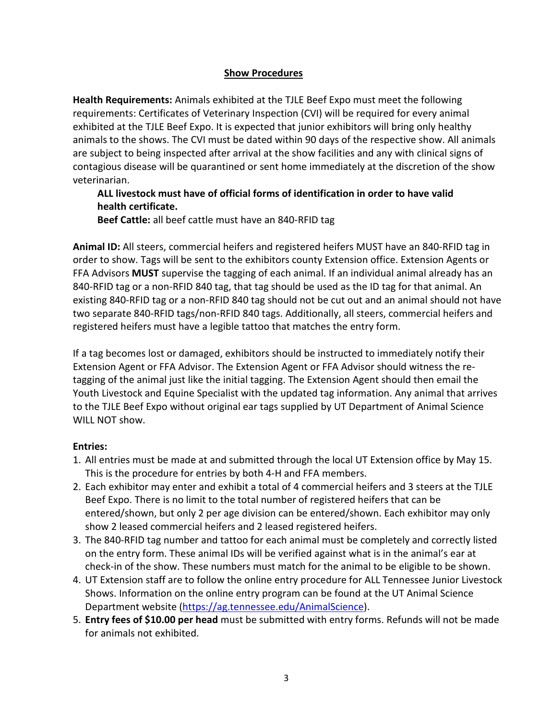## **Show Procedures**

**Health Requirements:** Animals exhibited at the TJLE Beef Expo must meet the following requirements: Certificates of Veterinary Inspection (CVI) will be required for every animal exhibited at the TJLE Beef Expo. It is expected that junior exhibitors will bring only healthy animals to the shows. The CVI must be dated within 90 days of the respective show. All animals are subject to being inspected after arrival at the show facilities and any with clinical signs of contagious disease will be quarantined or sent home immediately at the discretion of the show veterinarian.

# **ALL livestock must have of official forms of identification in order to have valid health certificate.**

**Beef Cattle:** all beef cattle must have an 840-RFID tag

**Animal ID:** All steers, commercial heifers and registered heifers MUST have an 840-RFID tag in order to show. Tags will be sent to the exhibitors county Extension office. Extension Agents or FFA Advisors **MUST** supervise the tagging of each animal. If an individual animal already has an 840-RFID tag or a non-RFID 840 tag, that tag should be used as the ID tag for that animal. An existing 840-RFID tag or a non-RFID 840 tag should not be cut out and an animal should not have two separate 840-RFID tags/non-RFID 840 tags. Additionally, all steers, commercial heifers and registered heifers must have a legible tattoo that matches the entry form.

If a tag becomes lost or damaged, exhibitors should be instructed to immediately notify their Extension Agent or FFA Advisor. The Extension Agent or FFA Advisor should witness the retagging of the animal just like the initial tagging. The Extension Agent should then email the Youth Livestock and Equine Specialist with the updated tag information. Any animal that arrives to the TJLE Beef Expo without original ear tags supplied by UT Department of Animal Science WILL NOT show.

## **Entries:**

- 1. All entries must be made at and submitted through the local UT Extension office by May 15. This is the procedure for entries by both 4-H and FFA members.
- 2. Each exhibitor may enter and exhibit a total of 4 commercial heifers and 3 steers at the TJLE Beef Expo. There is no limit to the total number of registered heifers that can be entered/shown, but only 2 per age division can be entered/shown. Each exhibitor may only show 2 leased commercial heifers and 2 leased registered heifers.
- 3. The 840-RFID tag number and tattoo for each animal must be completely and correctly listed on the entry form. These animal IDs will be verified against what is in the animal's ear at check-in of the show. These numbers must match for the animal to be eligible to be shown.
- 4. UT Extension staff are to follow the online entry procedure for ALL Tennessee Junior Livestock Shows. Information on the online entry program can be found at the UT Animal Science Department website [\(https://ag.tennessee.edu/AnimalScience\)](https://ag.tennessee.edu/AnimalScience).
- 5. **Entry fees of \$10.00 per head** must be submitted with entry forms. Refunds will not be made for animals not exhibited.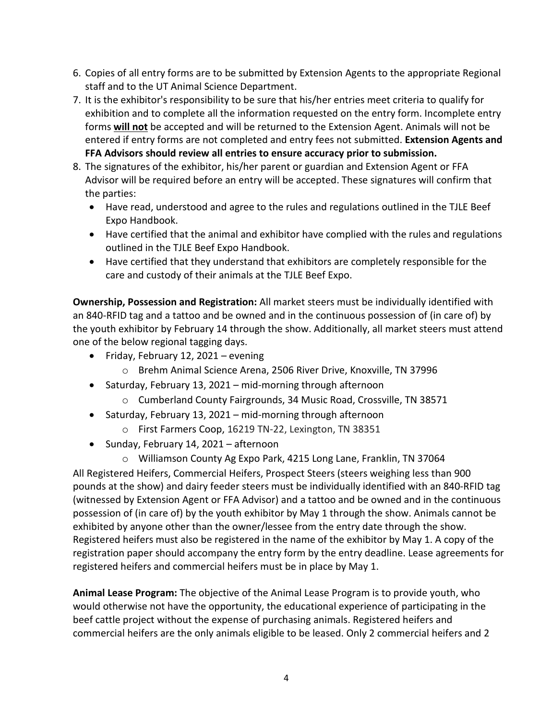- 6. Copies of all entry forms are to be submitted by Extension Agents to the appropriate Regional staff and to the UT Animal Science Department.
- 7. It is the exhibitor's responsibility to be sure that his/her entries meet criteria to qualify for exhibition and to complete all the information requested on the entry form. Incomplete entry forms **will not** be accepted and will be returned to the Extension Agent. Animals will not be entered if entry forms are not completed and entry fees not submitted. **Extension Agents and FFA Advisors should review all entries to ensure accuracy prior to submission.**
- 8. The signatures of the exhibitor, his/her parent or guardian and Extension Agent or FFA Advisor will be required before an entry will be accepted. These signatures will confirm that the parties:
	- Have read, understood and agree to the rules and regulations outlined in the TJLE Beef Expo Handbook.
	- Have certified that the animal and exhibitor have complied with the rules and regulations outlined in the TJLE Beef Expo Handbook.
	- Have certified that they understand that exhibitors are completely responsible for the care and custody of their animals at the TJLE Beef Expo.

**Ownership, Possession and Registration:** All market steers must be individually identified with an 840-RFID tag and a tattoo and be owned and in the continuous possession of (in care of) by the youth exhibitor by February 14 through the show. Additionally, all market steers must attend one of the below regional tagging days.

- Friday, February 12, 2021 evening
	- o Brehm Animal Science Arena, 2506 River Drive, Knoxville, TN 37996
- Saturday, February 13, 2021 mid-morning through afternoon
	- o Cumberland County Fairgrounds, 34 Music Road, Crossville, TN 38571
- Saturday, February 13, 2021 mid-morning through afternoon
	- o First Farmers Coop, 16219 TN-22, Lexington, TN 38351
- Sunday, February 14, 2021 afternoon

o Williamson County Ag Expo Park, 4215 Long Lane, Franklin, TN 37064 All Registered Heifers, Commercial Heifers, Prospect Steers (steers weighing less than 900 pounds at the show) and dairy feeder steers must be individually identified with an 840-RFID tag (witnessed by Extension Agent or FFA Advisor) and a tattoo and be owned and in the continuous possession of (in care of) by the youth exhibitor by May 1 through the show. Animals cannot be exhibited by anyone other than the owner/lessee from the entry date through the show. Registered heifers must also be registered in the name of the exhibitor by May 1. A copy of the registration paper should accompany the entry form by the entry deadline. Lease agreements for registered heifers and commercial heifers must be in place by May 1.

**Animal Lease Program:** The objective of the Animal Lease Program is to provide youth, who would otherwise not have the opportunity, the educational experience of participating in the beef cattle project without the expense of purchasing animals. Registered heifers and commercial heifers are the only animals eligible to be leased. Only 2 commercial heifers and 2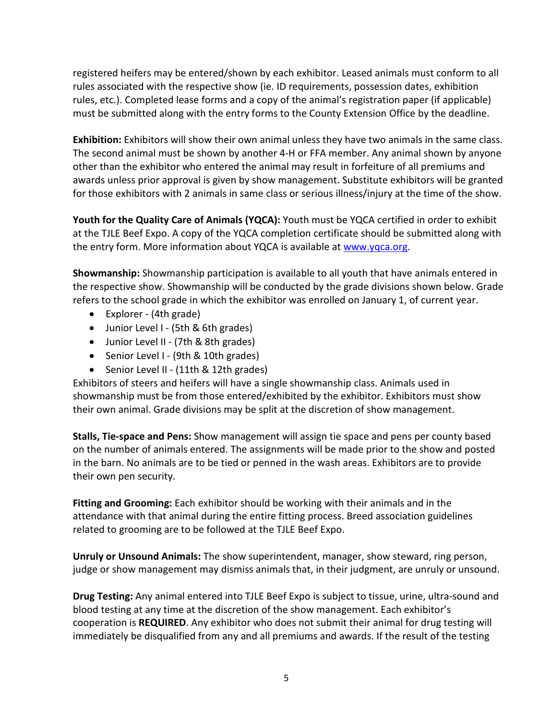registered heifers may be entered/shown by each exhibitor. Leased animals must conform to all rules associated with the respective show (ie. ID requirements, possession dates, exhibition rules, etc.). Completed lease forms and a copy of the animal's registration paper (if applicable) must be submitted along with the entry forms to the County Extension Office by the deadline.

**Exhibition:** Exhibitors will show their own animal unless they have two animals in the same class. The second animal must be shown by another 4-H or FFA member. Any animal shown by anyone other than the exhibitor who entered the animal may result in forfeiture of all premiums and awards unless prior approval is given by show management. Substitute exhibitors will be granted for those exhibitors with 2 animals in same class or serious illness/injury at the time of the show.

**Youth for the Quality Care of Animals (YQCA):** Youth must be YQCA certified in order to exhibit at the TJLE Beef Expo. A copy of the YQCA completion certificate should be submitted along with the entry form. More information about YQCA is available at [www.yqca.org.](http://www.yqca.org/)

**Showmanship:** Showmanship participation is available to all youth that have animals entered in the respective show. Showmanship will be conducted by the grade divisions shown below. Grade refers to the school grade in which the exhibitor was enrolled on January 1, of current year.

- Explorer (4th grade)
- Junior Level I (5th & 6th grades)
- Junior Level II (7th & 8th grades)
- Senior Level I (9th & 10th grades)
- Senior Level II (11th & 12th grades)

Exhibitors of steers and heifers will have a single showmanship class. Animals used in showmanship must be from those entered/exhibited by the exhibitor. Exhibitors must show their own animal. Grade divisions may be split at the discretion of show management.

**Stalls, Tie-space and Pens:** Show management will assign tie space and pens per county based on the number of animals entered. The assignments will be made prior to the show and posted in the barn. No animals are to be tied or penned in the wash areas. Exhibitors are to provide their own pen security.

**Fitting and Grooming:** Each exhibitor should be working with their animals and in the attendance with that animal during the entire fitting process. Breed association guidelines related to grooming are to be followed at the TJLE Beef Expo.

**Unruly or Unsound Animals:** The show superintendent, manager, show steward, ring person, judge or show management may dismiss animals that, in their judgment, are unruly or unsound.

**Drug Testing:** Any animal entered into TJLE Beef Expo is subject to tissue, urine, ultra-sound and blood testing at any time at the discretion of the show management. Each exhibitor's cooperation is **REQUIRED**. Any exhibitor who does not submit their animal for drug testing will immediately be disqualified from any and all premiums and awards. If the result of the testing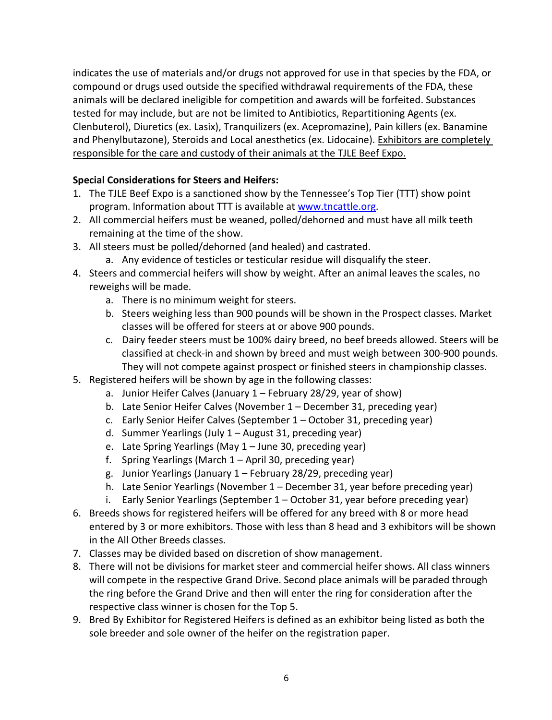indicates the use of materials and/or drugs not approved for use in that species by the FDA, or compound or drugs used outside the specified withdrawal requirements of the FDA, these animals will be declared ineligible for competition and awards will be forfeited. Substances tested for may include, but are not be limited to Antibiotics, Repartitioning Agents (ex. Clenbuterol), Diuretics (ex. Lasix), Tranquilizers (ex. Acepromazine), Pain killers (ex. Banamine and Phenylbutazone), Steroids and Local anesthetics (ex. Lidocaine). Exhibitors are completely responsible for the care and custody of their animals at the TJLE Beef Expo.

# **Special Considerations for Steers and Heifers:**

- 1. The TJLE Beef Expo is a sanctioned show by the Tennessee's Top Tier (TTT) show point program. Information about TTT is available at [www.tncattle.org.](http://www.tncattle.org/)
- 2. All commercial heifers must be weaned, polled/dehorned and must have all milk teeth remaining at the time of the show.
- 3. All steers must be polled/dehorned (and healed) and castrated.
	- a. Any evidence of testicles or testicular residue will disqualify the steer.
- 4. Steers and commercial heifers will show by weight. After an animal leaves the scales, no reweighs will be made.
	- a. There is no minimum weight for steers.
	- b. Steers weighing less than 900 pounds will be shown in the Prospect classes. Market classes will be offered for steers at or above 900 pounds.
	- c. Dairy feeder steers must be 100% dairy breed, no beef breeds allowed. Steers will be classified at check-in and shown by breed and must weigh between 300-900 pounds. They will not compete against prospect or finished steers in championship classes.
- 5. Registered heifers will be shown by age in the following classes:
	- a. Junior Heifer Calves (January 1 February 28/29, year of show)
	- b. Late Senior Heifer Calves (November 1 December 31, preceding year)
	- c. Early Senior Heifer Calves (September 1 October 31, preceding year)
	- d. Summer Yearlings (July 1 August 31, preceding year)
	- e. Late Spring Yearlings (May 1 June 30, preceding year)
	- f. Spring Yearlings (March 1 April 30, preceding year)
	- g. Junior Yearlings (January 1 February 28/29, preceding year)
	- h. Late Senior Yearlings (November 1 December 31, year before preceding year)
	- i. Early Senior Yearlings (September 1 October 31, year before preceding year)
- 6. Breeds shows for registered heifers will be offered for any breed with 8 or more head entered by 3 or more exhibitors. Those with less than 8 head and 3 exhibitors will be shown in the All Other Breeds classes.
- 7. Classes may be divided based on discretion of show management.
- 8. There will not be divisions for market steer and commercial heifer shows. All class winners will compete in the respective Grand Drive. Second place animals will be paraded through the ring before the Grand Drive and then will enter the ring for consideration after the respective class winner is chosen for the Top 5.
- 9. Bred By Exhibitor for Registered Heifers is defined as an exhibitor being listed as both the sole breeder and sole owner of the heifer on the registration paper.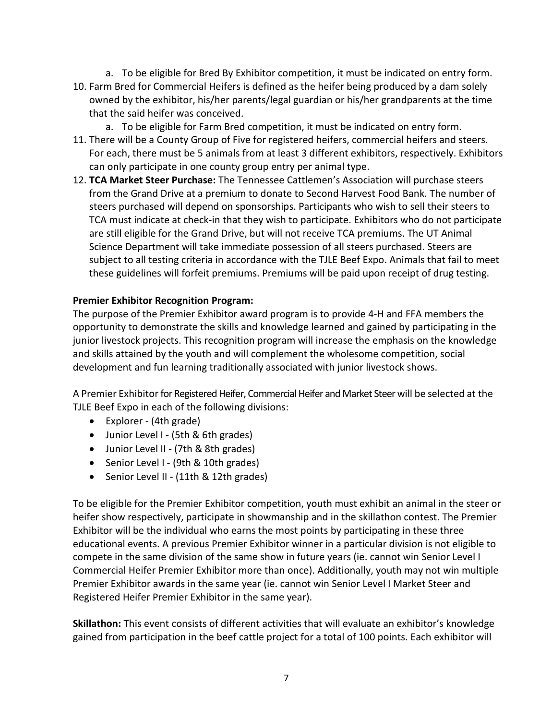- a. To be eligible for Bred By Exhibitor competition, it must be indicated on entry form.
- 10. Farm Bred for Commercial Heifers is defined as the heifer being produced by a dam solely owned by the exhibitor, his/her parents/legal guardian or his/her grandparents at the time that the said heifer was conceived.
	- a. To be eligible for Farm Bred competition, it must be indicated on entry form.
- 11. There will be a County Group of Five for registered heifers, commercial heifers and steers. For each, there must be 5 animals from at least 3 different exhibitors, respectively. Exhibitors can only participate in one county group entry per animal type.
- 12. **TCA Market Steer Purchase:** The Tennessee Cattlemen's Association will purchase steers from the Grand Drive at a premium to donate to Second Harvest Food Bank. The number of steers purchased will depend on sponsorships. Participants who wish to sell their steers to TCA must indicate at check-in that they wish to participate. Exhibitors who do not participate are still eligible for the Grand Drive, but will not receive TCA premiums. The UT Animal Science Department will take immediate possession of all steers purchased. Steers are subject to all testing criteria in accordance with the TJLE Beef Expo. Animals that fail to meet these guidelines will forfeit premiums. Premiums will be paid upon receipt of drug testing.

#### **Premier Exhibitor Recognition Program:**

The purpose of the Premier Exhibitor award program is to provide 4-H and FFA members the opportunity to demonstrate the skills and knowledge learned and gained by participating in the junior livestock projects. This recognition program will increase the emphasis on the knowledge and skills attained by the youth and will complement the wholesome competition, social development and fun learning traditionally associated with junior livestock shows.

A Premier Exhibitorfor Registered Heifer, Commercial Heifer and Market Steer will be selected at the TJLE Beef Expo in each of the following divisions:

- Explorer (4th grade)
- Junior Level I (5th & 6th grades)
- Junior Level II (7th & 8th grades)
- Senior Level I (9th & 10th grades)
- Senior Level II (11th & 12th grades)

To be eligible for the Premier Exhibitor competition, youth must exhibit an animal in the steer or heifer show respectively, participate in showmanship and in the skillathon contest. The Premier Exhibitor will be the individual who earns the most points by participating in these three educational events. A previous Premier Exhibitor winner in a particular division is not eligible to compete in the same division of the same show in future years (ie. cannot win Senior Level I Commercial Heifer Premier Exhibitor more than once). Additionally, youth may not win multiple Premier Exhibitor awards in the same year (ie. cannot win Senior Level I Market Steer and Registered Heifer Premier Exhibitor in the same year).

**Skillathon:** This event consists of different activities that will evaluate an exhibitor's knowledge gained from participation in the beef cattle project for a total of 100 points. Each exhibitor will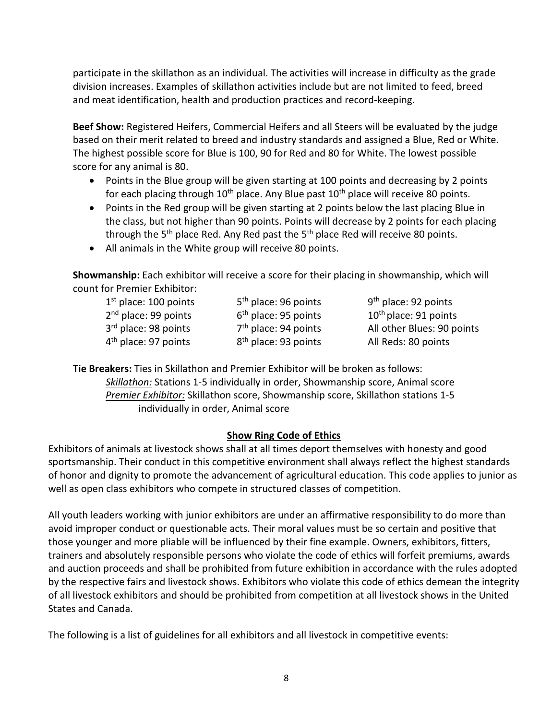participate in the skillathon as an individual. The activities will increase in difficulty as the grade division increases. Examples of skillathon activities include but are not limited to feed, breed and meat identification, health and production practices and record-keeping.

**Beef Show:** Registered Heifers, Commercial Heifers and all Steers will be evaluated by the judge based on their merit related to breed and industry standards and assigned a Blue, Red or White. The highest possible score for Blue is 100, 90 for Red and 80 for White. The lowest possible score for any animal is 80.

- Points in the Blue group will be given starting at 100 points and decreasing by 2 points for each placing through  $10<sup>th</sup>$  place. Any Blue past  $10<sup>th</sup>$  place will receive 80 points.
- Points in the Red group will be given starting at 2 points below the last placing Blue in the class, but not higher than 90 points. Points will decrease by 2 points for each placing through the  $5<sup>th</sup>$  place Red. Any Red past the  $5<sup>th</sup>$  place Red will receive 80 points.
- All animals in the White group will receive 80 points.

**Showmanship:** Each exhibitor will receive a score for their placing in showmanship, which will count for Premier Exhibitor:

 $1<sup>st</sup>$  place: 100 points  $5<sup>th</sup>$  place: 96 points 9<sup>th</sup> place: 92 points  $4<sup>th</sup>$  place: 97 points  $8<sup>th</sup>$  place: 93 points All Reds: 80 points

 $2<sup>nd</sup>$  place: 99 points  $6<sup>th</sup>$  place: 95 points  $10<sup>th</sup>$  place: 91 points  $3<sup>rd</sup>$  place: 98 points  $7<sup>th</sup>$  place: 94 points All other Blues: 90 points

**Tie Breakers:** Ties in Skillathon and Premier Exhibitor will be broken as follows: *Skillathon:* Stations 1-5 individually in order, Showmanship score, Animal score *Premier Exhibitor:* Skillathon score, Showmanship score, Skillathon stations 1-5 individually in order, Animal score

## **Show Ring Code of Ethics**

Exhibitors of animals at livestock shows shall at all times deport themselves with honesty and good sportsmanship. Their conduct in this competitive environment shall always reflect the highest standards of honor and dignity to promote the advancement of agricultural education. This code applies to junior as well as open class exhibitors who compete in structured classes of competition.

All youth leaders working with junior exhibitors are under an affirmative responsibility to do more than avoid improper conduct or questionable acts. Their moral values must be so certain and positive that those younger and more pliable will be influenced by their fine example. Owners, exhibitors, fitters, trainers and absolutely responsible persons who violate the code of ethics will forfeit premiums, awards and auction proceeds and shall be prohibited from future exhibition in accordance with the rules adopted by the respective fairs and livestock shows. Exhibitors who violate this code of ethics demean the integrity of all livestock exhibitors and should be prohibited from competition at all livestock shows in the United States and Canada.

The following is a list of guidelines for all exhibitors and all livestock in competitive events: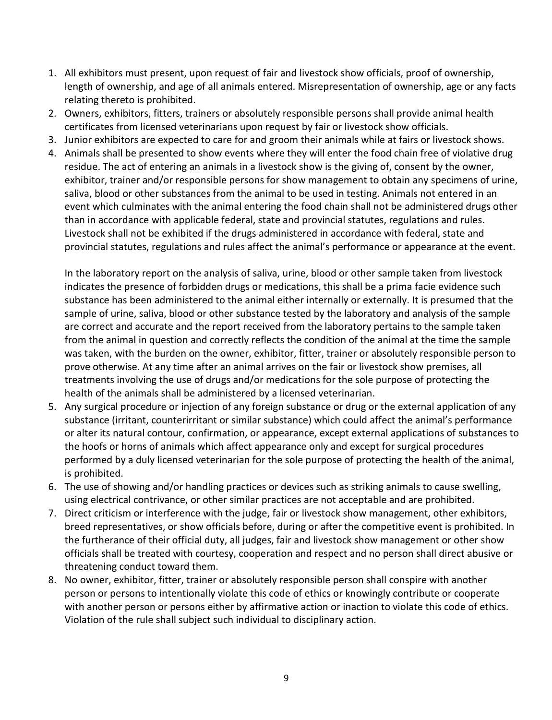- 1. All exhibitors must present, upon request of fair and livestock show officials, proof of ownership, length of ownership, and age of all animals entered. Misrepresentation of ownership, age or any facts relating thereto is prohibited.
- 2. Owners, exhibitors, fitters, trainers or absolutely responsible persons shall provide animal health certificates from licensed veterinarians upon request by fair or livestock show officials.
- 3. Junior exhibitors are expected to care for and groom their animals while at fairs or livestock shows.
- 4. Animals shall be presented to show events where they will enter the food chain free of violative drug residue. The act of entering an animals in a livestock show is the giving of, consent by the owner, exhibitor, trainer and/or responsible persons for show management to obtain any specimens of urine, saliva, blood or other substances from the animal to be used in testing. Animals not entered in an event which culminates with the animal entering the food chain shall not be administered drugs other than in accordance with applicable federal, state and provincial statutes, regulations and rules. Livestock shall not be exhibited if the drugs administered in accordance with federal, state and provincial statutes, regulations and rules affect the animal's performance or appearance at the event.

In the laboratory report on the analysis of saliva, urine, blood or other sample taken from livestock indicates the presence of forbidden drugs or medications, this shall be a prima facie evidence such substance has been administered to the animal either internally or externally. It is presumed that the sample of urine, saliva, blood or other substance tested by the laboratory and analysis of the sample are correct and accurate and the report received from the laboratory pertains to the sample taken from the animal in question and correctly reflects the condition of the animal at the time the sample was taken, with the burden on the owner, exhibitor, fitter, trainer or absolutely responsible person to prove otherwise. At any time after an animal arrives on the fair or livestock show premises, all treatments involving the use of drugs and/or medications for the sole purpose of protecting the health of the animals shall be administered by a licensed veterinarian.

- 5. Any surgical procedure or injection of any foreign substance or drug or the external application of any substance (irritant, counterirritant or similar substance) which could affect the animal's performance or alter its natural contour, confirmation, or appearance, except external applications of substances to the hoofs or horns of animals which affect appearance only and except for surgical procedures performed by a duly licensed veterinarian for the sole purpose of protecting the health of the animal, is prohibited.
- 6. The use of showing and/or handling practices or devices such as striking animals to cause swelling, using electrical contrivance, or other similar practices are not acceptable and are prohibited.
- 7. Direct criticism or interference with the judge, fair or livestock show management, other exhibitors, breed representatives, or show officials before, during or after the competitive event is prohibited. In the furtherance of their official duty, all judges, fair and livestock show management or other show officials shall be treated with courtesy, cooperation and respect and no person shall direct abusive or threatening conduct toward them.
- 8. No owner, exhibitor, fitter, trainer or absolutely responsible person shall conspire with another person or persons to intentionally violate this code of ethics or knowingly contribute or cooperate with another person or persons either by affirmative action or inaction to violate this code of ethics. Violation of the rule shall subject such individual to disciplinary action.